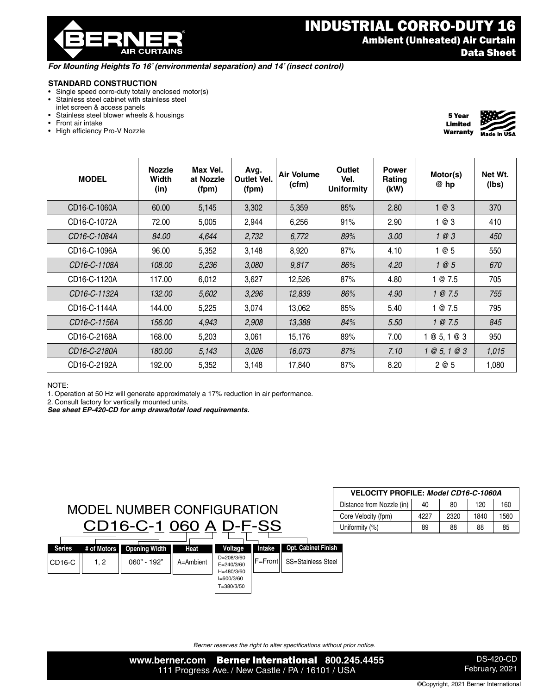

## INDUSTRIAL CORRO-DUTY 16 Ambient (Unheated) Air Curtain Data Sheet

## *For Mounting Heights To 16' (environmental separation) and 14' (insect control)*

## **STANDARD CONSTRUCTION**

- Single speed corro-duty totally enclosed motor(s)<br>• Stainless steel cabinet with stainless steel
- Stainless steel cabinet with stainless steel inlet screen & access panels
- Stainless steel blower wheels & housings
- Front air intake
- High efficiency Pro-V Nozzle



| <b>MODEL</b> | <b>Nozzle</b><br>Width<br>(in) | Max Vel.<br>at Nozzle<br>(fpm) | Avg.<br><b>Outlet Vel.</b><br>(fpm) | Air Volume<br>(cfm) | Outlet<br>Vel.<br><b>Uniformity</b> | <b>Power</b><br>Rating<br>(kW) | Motor(s)<br>@ hp | Net Wt.<br>(lbs) |
|--------------|--------------------------------|--------------------------------|-------------------------------------|---------------------|-------------------------------------|--------------------------------|------------------|------------------|
| CD16-C-1060A | 60.00                          | 5,145                          | 3,302                               | 5,359               | 85%                                 | 2.80                           | 1@3              | 370              |
| CD16-C-1072A | 72.00                          | 5,005                          | 2,944                               | 6,256               | 91%                                 | 2.90                           | 1 @ 3            | 410              |
| CD16-C-1084A | 84.00                          | 4,644                          | 2,732                               | 6,772               | 89%                                 | 3.00                           | 1@3              | 450              |
| CD16-C-1096A | 96.00                          | 5,352                          | 3,148                               | 8,920               | 87%                                 | 4.10                           | 1 @ 5            | 550              |
| CD16-C-1108A | 108.00                         | 5,236                          | 3,080                               | 9,817               | 86%                                 | 4.20                           | 1@5              | 670              |
| CD16-C-1120A | 117.00                         | 6,012                          | 3,627                               | 12,526              | 87%                                 | 4.80                           | 1@7.5            | 705              |
| CD16-C-1132A | 132.00                         | 5,602                          | 3,296                               | 12,839              | 86%                                 | 4.90                           | 1 @ 7.5          | 755              |
| CD16-C-1144A | 144.00                         | 5,225                          | 3,074                               | 13,062              | 85%                                 | 5.40                           | 1 @ 7.5          | 795              |
| CD16-C-1156A | 156.00                         | 4,943                          | 2,908                               | 13,388              | 84%                                 | 5.50                           | 1 @ 7.5          | 845              |
| CD16-C-2168A | 168.00                         | 5,203                          | 3,061                               | 15,176              | 89%                                 | 7.00                           | @5,1@3           | 950              |
| CD16-C-2180A | 180.00                         | 5,143                          | 3,026                               | 16,073              | 87%                                 | 7.10                           | 1 @ 5, 1 @ 3     | 1,015            |
| CD16-C-2192A | 192.00                         | 5,352                          | 3,148                               | 17,840              | 87%                                 | 8.20                           | 2 @ 5            | 1,080            |

NOTE:

1. Operation at 50 Hz will generate approximately a 17% reduction in air performance.

2. Consult factory for vertically mounted units.

*See sheet EP-420-CD for amp draws/total load requirements.*



| <b>VELOCITY PROFILE: Model CD16-C-1060A</b> |      |      |      |      |  |  |  |  |  |
|---------------------------------------------|------|------|------|------|--|--|--|--|--|
| Distance from Nozzle (in)                   | 40   | 80   | 120  | 160  |  |  |  |  |  |
| Core Velocity (fpm)                         | 4227 | 2320 | 1840 | 1560 |  |  |  |  |  |
| Uniformity (%)                              | 89   | 88   | 88   | 85   |  |  |  |  |  |

*Berner reserves the right to alter specifications without prior notice.*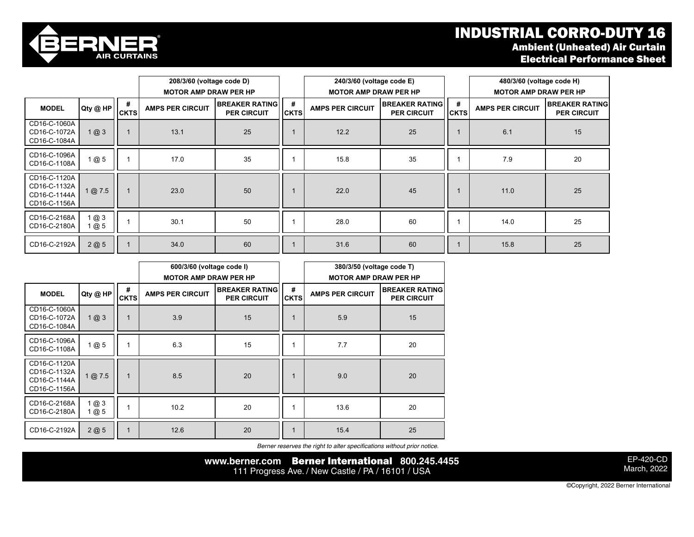## INDUSTRIAL CORRO-DUTY 16 Ambient (Unheated) Air Curtain Electrical Performance Sheet



|                                                              |                    | 208/3/60 (voltage code D)<br><b>MOTOR AMP DRAW PER HP</b> |                         |                                             | 240/3/60 (voltage code E)<br><b>MOTOR AMP DRAW PER HP</b> |                         |                                             | 480/3/60 (voltage code H)<br><b>MOTOR AMP DRAW PER HP</b> |                         |                                             |
|--------------------------------------------------------------|--------------------|-----------------------------------------------------------|-------------------------|---------------------------------------------|-----------------------------------------------------------|-------------------------|---------------------------------------------|-----------------------------------------------------------|-------------------------|---------------------------------------------|
| <b>MODEL</b>                                                 | Qty @ HP           | #<br><b>CKTS</b>                                          | <b>AMPS PER CIRCUIT</b> | <b>BREAKER RATING</b><br><b>PER CIRCUIT</b> | #<br><b>CKTS</b>                                          | <b>AMPS PER CIRCUIT</b> | <b>BREAKER RATING</b><br><b>PER CIRCUIT</b> | #<br><b>CKTS</b>                                          | <b>AMPS PER CIRCUIT</b> | <b>BREAKER RATING</b><br><b>PER CIRCUIT</b> |
| CD16-C-1060A<br>CD16-C-1072A<br>CD16-C-1084A                 | $1 \, \omega \, 3$ |                                                           | 13.1                    | 25                                          |                                                           | 12.2                    | 25                                          |                                                           | 6.1                     | 15                                          |
| CD16-C-1096A<br>CD16-C-1108A                                 | 1@5                |                                                           | 17.0                    | 35                                          |                                                           | 15.8                    | 35                                          |                                                           | 7.9                     | 20                                          |
| CD16-C-1120A<br>CD16-C-1132A<br>CD16-C-1144A<br>CD16-C-1156A | @7.5               |                                                           | 23.0                    | 50                                          |                                                           | 22.0                    | 45                                          |                                                           | 11.0                    | 25                                          |
| CD16-C-2168A<br>CD16-C-2180A                                 | 1 @ 3<br>1@5       |                                                           | 30.1                    | 50                                          |                                                           | 28.0                    | 60                                          |                                                           | 14.0                    | 25                                          |
| CD16-C-2192A                                                 | 2@5                |                                                           | 34.0                    | 60                                          |                                                           | 31.6                    | 60                                          |                                                           | 15.8                    | 25                                          |

|                                                              |            |                  | 600/3/60 (voltage code I)<br><b>MOTOR AMP DRAW PER HP</b>              |    |                  | 380/3/50 (voltage code T)<br><b>MOTOR AMP DRAW PER HP</b> |                                             |  |
|--------------------------------------------------------------|------------|------------------|------------------------------------------------------------------------|----|------------------|-----------------------------------------------------------|---------------------------------------------|--|
| <b>MODEL</b>                                                 | Qty @ HP   | #<br><b>CKTS</b> | <b>BREAKER RATING</b><br><b>AMPS PER CIRCUIT</b><br><b>PER CIRCUIT</b> |    | #<br><b>CKTS</b> | <b>AMPS PER CIRCUIT</b>                                   | <b>BREAKER RATING</b><br><b>PER CIRCUIT</b> |  |
| CD16-C-1060A<br>CD16-C-1072A<br>CD16-C-1084A                 | 1@3        |                  | 3.9                                                                    | 15 |                  | 5.9                                                       | 15                                          |  |
| CD16-C-1096A<br>CD16-C-1108A                                 | 1@5        |                  | 6.3                                                                    | 15 |                  | 7.7                                                       | 20                                          |  |
| CD16-C-1120A<br>CD16-C-1132A<br>CD16-C-1144A<br>CD16-C-1156A | 1 @ 7.5    | 1                | 8.5                                                                    | 20 | $\mathbf 1$      | 9.0                                                       | 20                                          |  |
| CD16-C-2168A<br>CD16-C-2180A                                 | 1@3<br>1@5 |                  | 10.2                                                                   | 20 |                  | 13.6                                                      | 20                                          |  |
| CD16-C-2192A                                                 | 2@5        | $\mathbf{1}$     | 12.6                                                                   | 20 | 1                | 15.4                                                      | 25                                          |  |

*Berner reserves the right to alter specifications without prior notice.*

**www.berner.com** Berner International **800.245.4455** 111 Progress Ave. / New Castle / PA / 16101 / USA

EP-420-CD March, 2022

©Copyright, 2022 Berner International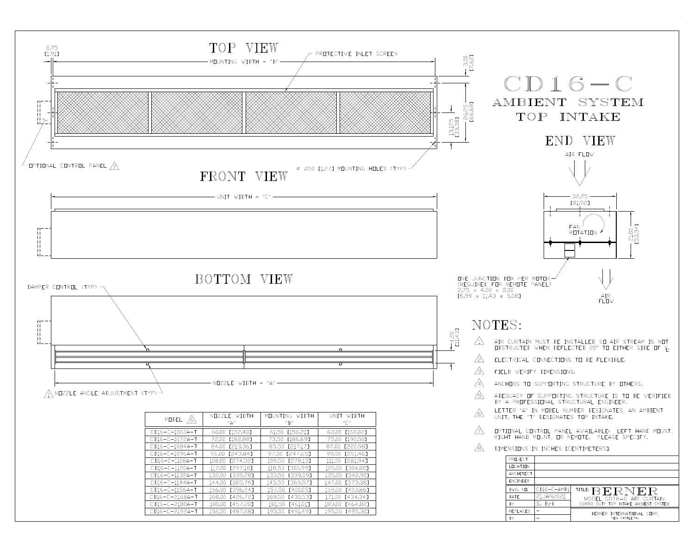